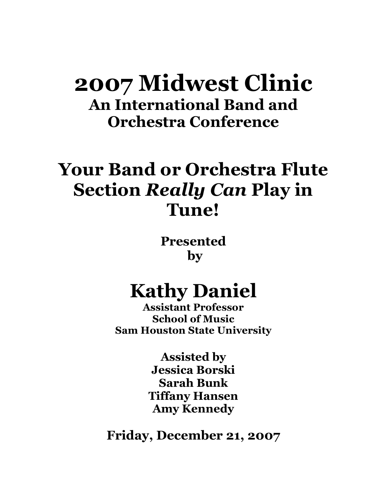## **2007 Midwest Clinic An International Band and Orchestra Conference**

# **Your Band or Orchestra Flute Section** *Really Can* **Play in Tune!**

**Presented by**

# **Kathy Daniel**

**Assistant Professor School of Music Sam Houston State University**

> **Assisted by Jessica Borski Sarah Bunk Tiffany Hansen Amy Kennedy**

**Friday, December 21, 2007**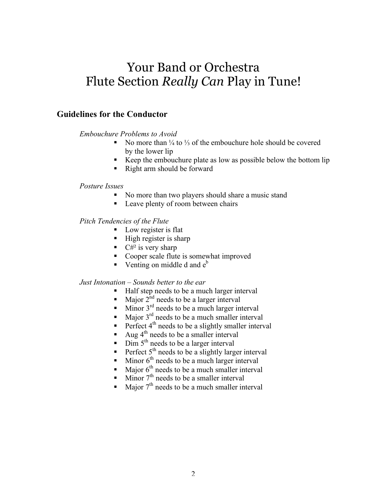## Your Band or Orchestra Flute Section *Really Can* Play in Tune!

## **Guidelines for the Conductor**

*Embouchure Problems to Avoid*

- No more than  $\frac{1}{4}$  to  $\frac{1}{3}$  of the embouchure hole should be covered by the lower lip
- Keep the embouchure plate as low as possible below the bottom lip
- Right arm should be forward

### *Posture Issues*

- No more than two players should share a music stand
- **Leave plenty of room between chairs**

### *Pitch Tendencies of the Flute*

- **Low register is flat**
- $\blacksquare$  High register is sharp
- $\blacksquare$  C#<sup>2</sup> is very sharp
- Cooper scale flute is somewhat improved
- Venting on middle d and  $e^b$

#### *Just Intonation – Sounds better to the ear*

- Half step needs to be a much larger interval
- Major  $2^{nd}$  needs to be a larger interval
- Minor  $3<sup>rd</sup>$  needs to be a much larger interval
- Major  $3<sup>rd</sup>$  needs to be a much smaller interval
- Perfect 4<sup>th</sup> needs to be a slightly smaller interval
- Aug  $4<sup>th</sup>$  needs to be a smaller interval
- $\overline{\phantom{a}}$  Dim 5<sup>th</sup> needs to be a larger interval
- Perfect  $5<sup>th</sup>$  needs to be a slightly larger interval
- Minor  $6<sup>th</sup>$  needs to be a much larger interval
- Major  $6<sup>th</sup>$  needs to be a much smaller interval
- Minor  $7<sup>th</sup>$  needs to be a smaller interval
- Major  $7<sup>th</sup>$  needs to be a much smaller interval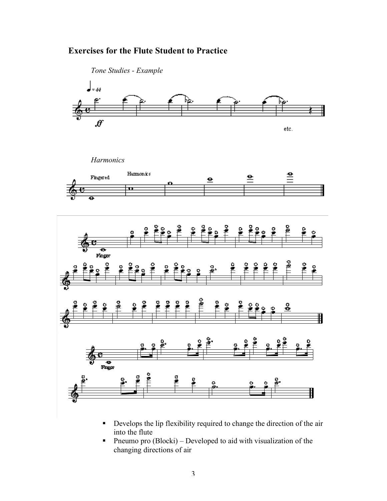## **Exercises for the Flute Student to Practice**



- Develops the lip flexibility required to change the direction of the air into the flute
- **Pneumo pro (Blocki)** Developed to aid with visualization of the changing directions of air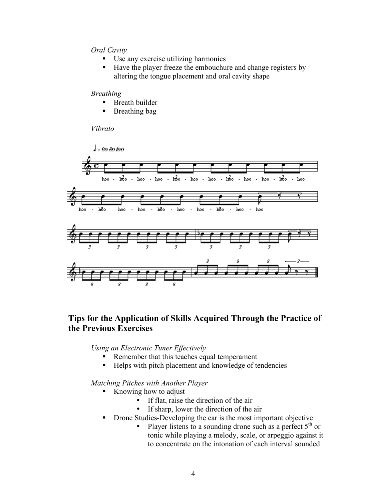#### *Oral Cavity*

- Use any exercise utilizing harmonics
- Have the player freeze the embouchure and change registers by altering the tongue placement and oral cavity shape

#### *Breathing*

- **Breath builder**
- Breathing bag

#### *Vibrato*



## **Tips for the Application of Skills Acquired Through the Practice of the Previous Exercises**

*Using an Electronic Tuner Effectively*

- Remember that this teaches equal temperament
- Helps with pitch placement and knowledge of tendencies

*Matching Pitches with Another Player*

- Knowing how to adjust
	- If flat, raise the direction of the air
	- If sharp, lower the direction of the air
- Drone Studies-Developing the ear is the most important objective
	- Player listens to a sounding drone such as a perfect  $5<sup>th</sup>$  or tonic while playing a melody, scale, or arpeggio against it to concentrate on the intonation of each interval sounded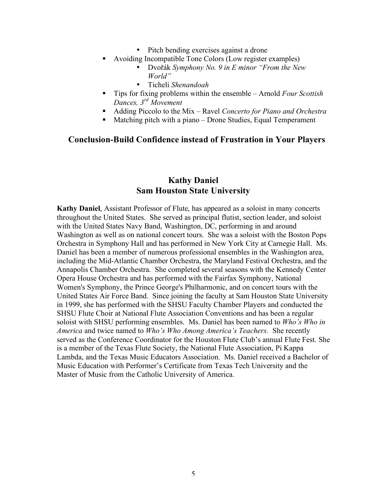- Pitch bending exercises against a drone
- Avoiding Incompatible Tone Colors (Low register examples)
	- Dvořák *Symphony No. 9 in E minor "From the New World"*
	- Ticheli *Shenandoah*
- Tips for fixing problems within the ensemble Arnold *Four Scottish Dances, 3rd Movement*
- Adding Piccolo to the Mix Ravel *Concerto for Piano and Orchestra*
- Matching pitch with a piano Drone Studies, Equal Temperament

## **Conclusion-Build Confidence instead of Frustration in Your Players**

## **Kathy Daniel Sam Houston State University**

**Kathy Daniel**, Assistant Professor of Flute, has appeared as a soloist in many concerts throughout the United States. She served as principal flutist, section leader, and soloist with the United States Navy Band, Washington, DC, performing in and around Washington as well as on national concert tours. She was a soloist with the Boston Pops Orchestra in Symphony Hall and has performed in New York City at Carnegie Hall. Ms. Daniel has been a member of numerous professional ensembles in the Washington area, including the Mid-Atlantic Chamber Orchestra, the Maryland Festival Orchestra, and the Annapolis Chamber Orchestra. She completed several seasons with the Kennedy Center Opera House Orchestra and has performed with the Fairfax Symphony, National Women's Symphony, the Prince George's Philharmonic, and on concert tours with the United States Air Force Band. Since joining the faculty at Sam Houston State University in 1999, she has performed with the SHSU Faculty Chamber Players and conducted the SHSU Flute Choir at National Flute Association Conventions and has been a regular soloist with SHSU performing ensembles. Ms. Daniel has been named to *Who's Who in America* and twice named to *Who's Who Among America's Teachers.* She recently served as the Conference Coordinator for the Houston Flute Club's annual Flute Fest. She is a member of the Texas Flute Society, the National Flute Association, Pi Kappa Lambda, and the Texas Music Educators Association. Ms. Daniel received a Bachelor of Music Education with Performer's Certificate from Texas Tech University and the Master of Music from the Catholic University of America.